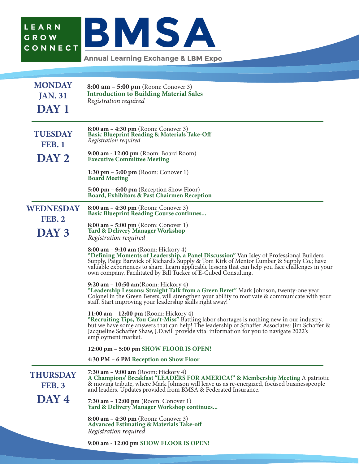

**Annual Learning Exchange & LBM Expo** 

| <b>MONDAY</b><br><b>JAN. 31</b><br>DAY 1   | $8:00$ am $-5:00$ pm (Room: Conover 3)<br><b>Introduction to Building Material Sales</b><br>Registration required                                                                                                                                                                                                                                                                                   |
|--------------------------------------------|-----------------------------------------------------------------------------------------------------------------------------------------------------------------------------------------------------------------------------------------------------------------------------------------------------------------------------------------------------------------------------------------------------|
| <b>TUESDAY</b><br><b>FEB. 1</b>            | $8:00$ am $-4:30$ pm (Room: Conover 3)<br><b>Basic Blueprint Reading &amp; Materials Take-Off</b><br>Registration required                                                                                                                                                                                                                                                                          |
| DAY 2                                      | 9:00 am - 12:00 pm (Room: Board Room)<br><b>Executive Committee Meeting</b>                                                                                                                                                                                                                                                                                                                         |
|                                            | 1:30 pm $-$ 5:00 pm (Room: Conover 1)<br><b>Board Meeting</b>                                                                                                                                                                                                                                                                                                                                       |
|                                            | 5:00 $\text{pm}$ – 6:00 $\text{pm}$ (Reception Show Floor)<br>Board, Exhibitors & Past Chairmen Reception                                                                                                                                                                                                                                                                                           |
| <b>WEDNESDAY</b><br><b>FEB. 2</b><br>DAY 3 | 8:00 am $-$ 4:30 pm (Room: Conover 3)<br><b>Basic Blueprint Reading Course continues</b>                                                                                                                                                                                                                                                                                                            |
|                                            | $8:00$ am $-5:00$ pm (Room: Conover 1)<br><b>Yard &amp; Delivery Manager Workshop</b><br>Registration required                                                                                                                                                                                                                                                                                      |
|                                            | 8:00 am $-$ 9:10 am (Room: Hickory 4)<br>"Defining Moments of Leadership, a Panel Discussion" Van Isley of Professional Builders<br>Supply, Paige Barwick of Richard's Supply & Tom Kirk of Mentor Lumber & Supply Co.; have<br>valuable experiences to share. Learn applicable lessons that can help you face challenges in your<br>own company. Facilitated by Bill Tucker of E-Cubed Consulting. |
|                                            | 9:20 am $-$ 10:50 am(Room: Hickory 4)<br>"Leadership Lessons: Straight Talk from a Green Beret" Mark Johnson, twenty-one year<br>Colonel in the Green Berets, will strengthen your ability to motivate & communicate with your<br>staff. Start improving your leadership skills right away!                                                                                                         |
|                                            | 11:00 $am - 12:00$ pm (Room: Hickory 4)<br>"Recruiting Tips, You Can't-Miss" Battling labor shortages is nothing new in our industry,<br>but we have some answers that can help! The leadership of Schaffer Associates: Jim Schaffer &<br>Jacqueline Schaffer Shaw, J.D.will provide vital information for you to navigate 2022's<br>employment market.                                             |
|                                            | 12:00 pm - 5:00 pm SHOW FLOOR IS OPEN!                                                                                                                                                                                                                                                                                                                                                              |
|                                            | 4:30 PM – 6 PM Reception on Show Floor                                                                                                                                                                                                                                                                                                                                                              |
| <b>THURSDAY</b><br><b>FEB. 3</b>           | 7:30 am $-$ 9:00 am (Room: Hickory 4)<br>A Champions' Breakfast "LEADERS FOR AMERICA!" & Membership Meeting A patriotic<br>& moving tribute, where Mark Johnson will leave us as re-energized, focused businesspeople<br>and leaders. Updates provided from BMSA & Federated Insurance.                                                                                                             |
| DAY 4                                      | 7:30 $am - 12:00 pm$ (Room: Conover 1)<br>Yard & Delivery Manager Workshop continues                                                                                                                                                                                                                                                                                                                |
|                                            | $8:00$ am $-4:30$ pm (Room: Conover 3)<br>Advanced Estimating & Materials Take-off<br>Registration required                                                                                                                                                                                                                                                                                         |
|                                            | 9:00 am - 12:00 pm SHOW FLOOR IS OPEN!                                                                                                                                                                                                                                                                                                                                                              |